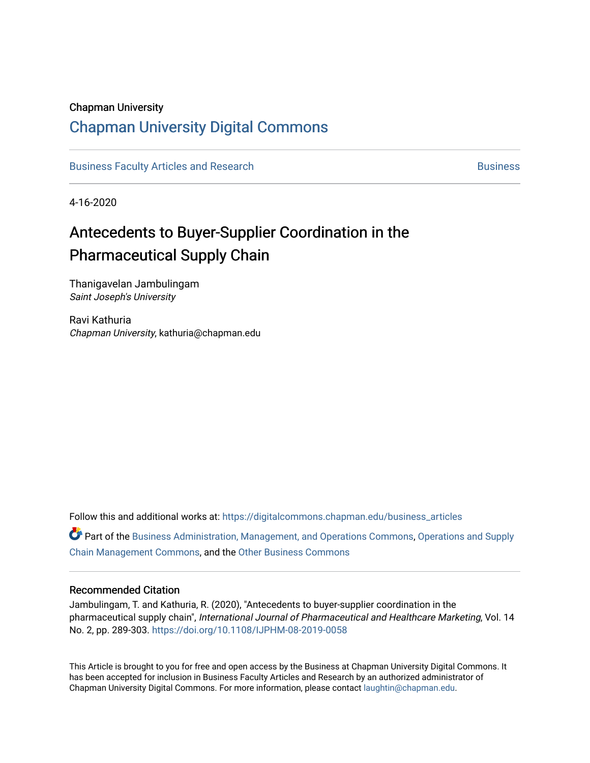### Chapman University

## [Chapman University Digital Commons](https://digitalcommons.chapman.edu/)

[Business Faculty Articles and Research](https://digitalcommons.chapman.edu/business_articles) [Business](https://digitalcommons.chapman.edu/business) **Business** Business

4-16-2020

# Antecedents to Buyer-Supplier Coordination in the Pharmaceutical Supply Chain

Thanigavelan Jambulingam Saint Joseph's University

Ravi Kathuria Chapman University, kathuria@chapman.edu

Follow this and additional works at: [https://digitalcommons.chapman.edu/business\\_articles](https://digitalcommons.chapman.edu/business_articles?utm_source=digitalcommons.chapman.edu%2Fbusiness_articles%2F102&utm_medium=PDF&utm_campaign=PDFCoverPages) 

Part of the [Business Administration, Management, and Operations Commons](http://network.bepress.com/hgg/discipline/623?utm_source=digitalcommons.chapman.edu%2Fbusiness_articles%2F102&utm_medium=PDF&utm_campaign=PDFCoverPages), Operations and Supply [Chain Management Commons](http://network.bepress.com/hgg/discipline/1229?utm_source=digitalcommons.chapman.edu%2Fbusiness_articles%2F102&utm_medium=PDF&utm_campaign=PDFCoverPages), and the [Other Business Commons](http://network.bepress.com/hgg/discipline/647?utm_source=digitalcommons.chapman.edu%2Fbusiness_articles%2F102&utm_medium=PDF&utm_campaign=PDFCoverPages)

#### Recommended Citation

Jambulingam, T. and Kathuria, R. (2020), "Antecedents to buyer-supplier coordination in the pharmaceutical supply chain", International Journal of Pharmaceutical and Healthcare Marketing, Vol. 14 No. 2, pp. 289-303. <https://doi.org/10.1108/IJPHM-08-2019-0058>

This Article is brought to you for free and open access by the Business at Chapman University Digital Commons. It has been accepted for inclusion in Business Faculty Articles and Research by an authorized administrator of Chapman University Digital Commons. For more information, please contact [laughtin@chapman.edu](mailto:laughtin@chapman.edu).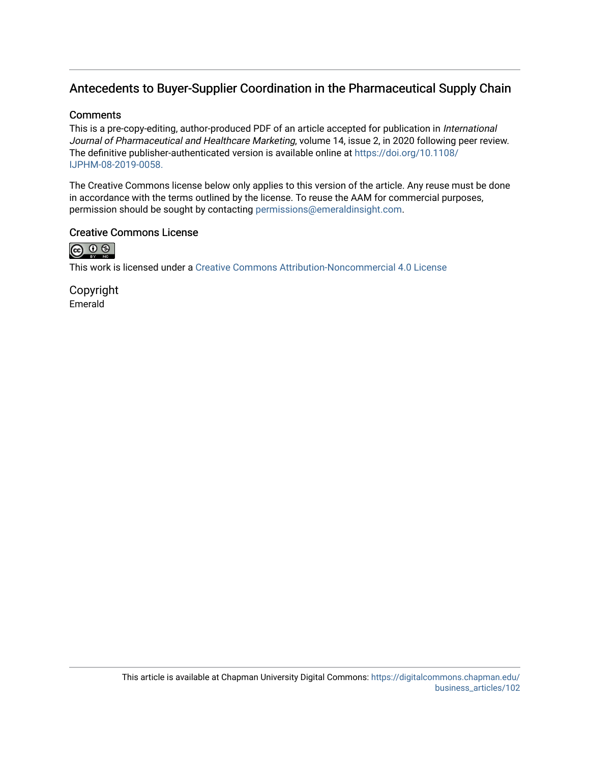## Antecedents to Buyer-Supplier Coordination in the Pharmaceutical Supply Chain

### **Comments**

This is a pre-copy-editing, author-produced PDF of an article accepted for publication in International Journal of Pharmaceutical and Healthcare Marketing, volume 14, issue 2, in 2020 following peer review. The definitive publisher-authenticated version is available online at [https://doi.org/10.1108/](https://doi.org/10.1108/IJPHM-08-2019-0058) [IJPHM-08-2019-0058.](https://doi.org/10.1108/IJPHM-08-2019-0058)

The Creative Commons license below only applies to this version of the article. Any reuse must be done in accordance with the terms outlined by the license. To reuse the AAM for commercial purposes, permission should be sought by contacting [permissions@emeraldinsight.com](mailto:permissions@emeraldinsight.com).

### Creative Commons License



This work is licensed under a [Creative Commons Attribution-Noncommercial 4.0 License](https://creativecommons.org/licenses/by-nc/4.0/) 

Copyright Emerald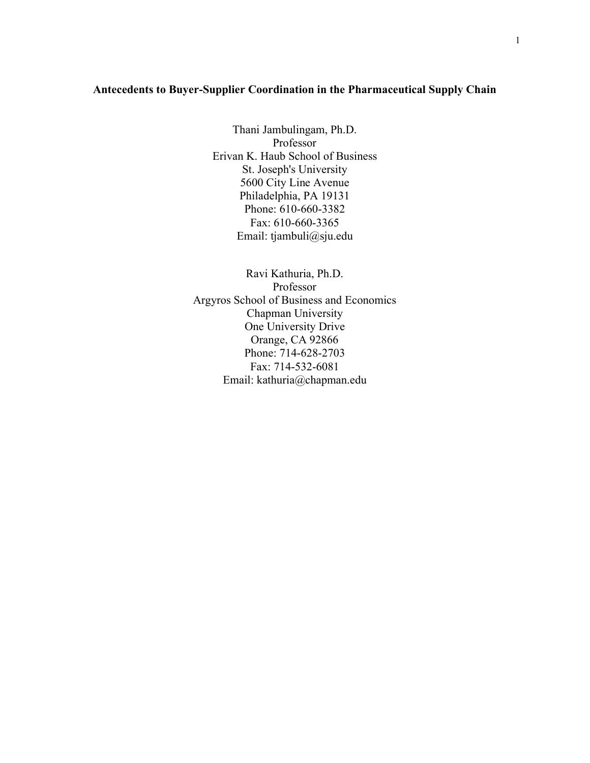#### **Antecedents to Buyer-Supplier Coordination in the Pharmaceutical Supply Chain**

Thani Jambulingam, Ph.D. Professor Erivan K. Haub School of Business St. Joseph's University 5600 City Line Avenue Philadelphia, PA 19131 Phone: 610-660-3382 Fax: 610-660-3365 Email: tjambuli@sju.edu

Ravi Kathuria, Ph.D. Professor Argyros School of Business and Economics Chapman University One University Drive Orange, CA 92866 Phone: 714-628-2703 Fax: 714-532-6081 Email: kathuria@chapman.edu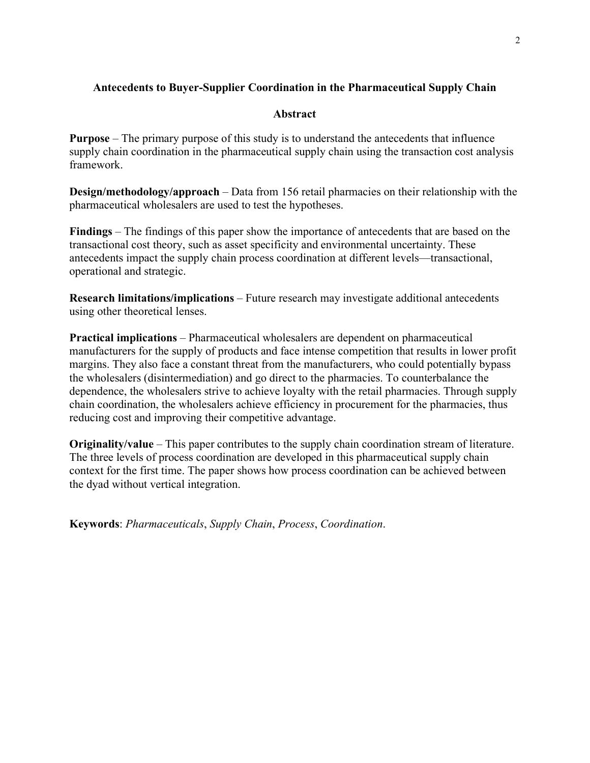## **Antecedents to Buyer-Supplier Coordination in the Pharmaceutical Supply Chain**

### **Abstract**

**Purpose** – The primary purpose of this study is to understand the antecedents that influence supply chain coordination in the pharmaceutical supply chain using the transaction cost analysis framework.

**Design/methodology/approach** – Data from 156 retail pharmacies on their relationship with the pharmaceutical wholesalers are used to test the hypotheses.

**Findings** – The findings of this paper show the importance of antecedents that are based on the transactional cost theory, such as asset specificity and environmental uncertainty. These antecedents impact the supply chain process coordination at different levels—transactional, operational and strategic.

**Research limitations/implications** – Future research may investigate additional antecedents using other theoretical lenses.

**Practical implications** – Pharmaceutical wholesalers are dependent on pharmaceutical manufacturers for the supply of products and face intense competition that results in lower profit margins. They also face a constant threat from the manufacturers, who could potentially bypass the wholesalers (disintermediation) and go direct to the pharmacies. To counterbalance the dependence, the wholesalers strive to achieve loyalty with the retail pharmacies. Through supply chain coordination, the wholesalers achieve efficiency in procurement for the pharmacies, thus reducing cost and improving their competitive advantage.

**Originality/value** – This paper contributes to the supply chain coordination stream of literature. The three levels of process coordination are developed in this pharmaceutical supply chain context for the first time. The paper shows how process coordination can be achieved between the dyad without vertical integration.

**Keywords**: *Pharmaceuticals*, *Supply Chain*, *Process*, *Coordination*.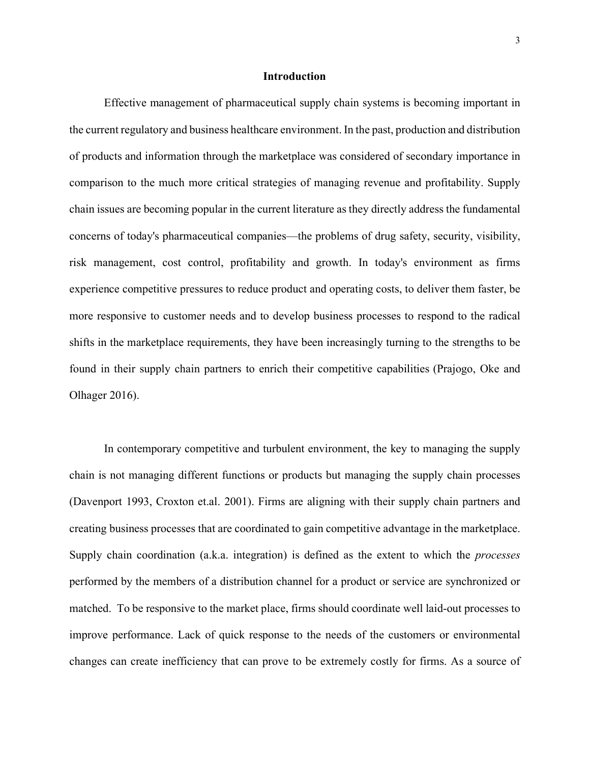#### **Introduction**

Effective management of pharmaceutical supply chain systems is becoming important in the current regulatory and business healthcare environment. In the past, production and distribution of products and information through the marketplace was considered of secondary importance in comparison to the much more critical strategies of managing revenue and profitability. Supply chain issues are becoming popular in the current literature as they directly address the fundamental concerns of today's pharmaceutical companies—the problems of drug safety, security, visibility, risk management, cost control, profitability and growth. In today's environment as firms experience competitive pressures to reduce product and operating costs, to deliver them faster, be more responsive to customer needs and to develop business processes to respond to the radical shifts in the marketplace requirements, they have been increasingly turning to the strengths to be found in their supply chain partners to enrich their competitive capabilities (Prajogo, Oke and Olhager 2016).

In contemporary competitive and turbulent environment, the key to managing the supply chain is not managing different functions or products but managing the supply chain processes (Davenport 1993, Croxton et.al. 2001). Firms are aligning with their supply chain partners and creating business processes that are coordinated to gain competitive advantage in the marketplace. Supply chain coordination (a.k.a. integration) is defined as the extent to which the *processes* performed by the members of a distribution channel for a product or service are synchronized or matched. To be responsive to the market place, firms should coordinate well laid-out processes to improve performance. Lack of quick response to the needs of the customers or environmental changes can create inefficiency that can prove to be extremely costly for firms. As a source of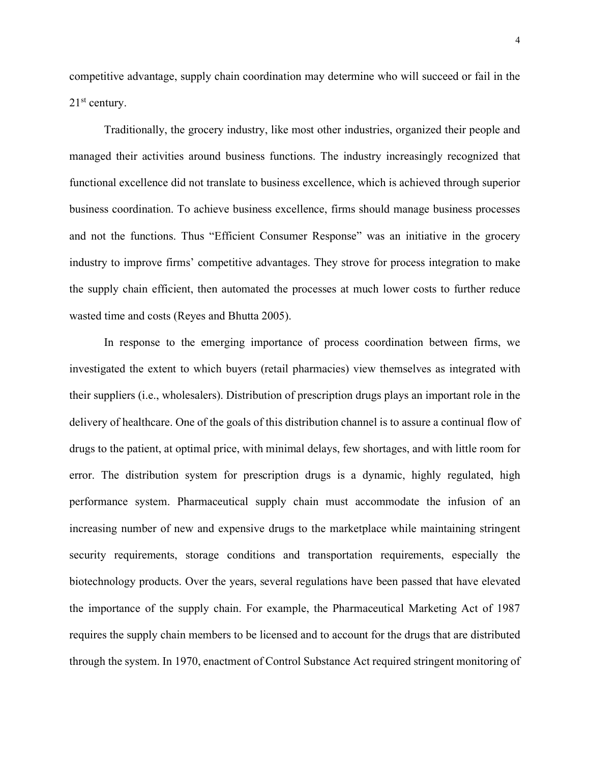competitive advantage, supply chain coordination may determine who will succeed or fail in the  $21<sup>st</sup>$  century.

Traditionally, the grocery industry, like most other industries, organized their people and managed their activities around business functions. The industry increasingly recognized that functional excellence did not translate to business excellence, which is achieved through superior business coordination. To achieve business excellence, firms should manage business processes and not the functions. Thus "Efficient Consumer Response" was an initiative in the grocery industry to improve firms' competitive advantages. They strove for process integration to make the supply chain efficient, then automated the processes at much lower costs to further reduce wasted time and costs (Reyes and Bhutta 2005).

In response to the emerging importance of process coordination between firms, we investigated the extent to which buyers (retail pharmacies) view themselves as integrated with their suppliers (i.e., wholesalers). Distribution of prescription drugs plays an important role in the delivery of healthcare. One of the goals of this distribution channel is to assure a continual flow of drugs to the patient, at optimal price, with minimal delays, few shortages, and with little room for error. The distribution system for prescription drugs is a dynamic, highly regulated, high performance system. Pharmaceutical supply chain must accommodate the infusion of an increasing number of new and expensive drugs to the marketplace while maintaining stringent security requirements, storage conditions and transportation requirements, especially the biotechnology products. Over the years, several regulations have been passed that have elevated the importance of the supply chain. For example, the Pharmaceutical Marketing Act of 1987 requires the supply chain members to be licensed and to account for the drugs that are distributed through the system. In 1970, enactment of Control Substance Act required stringent monitoring of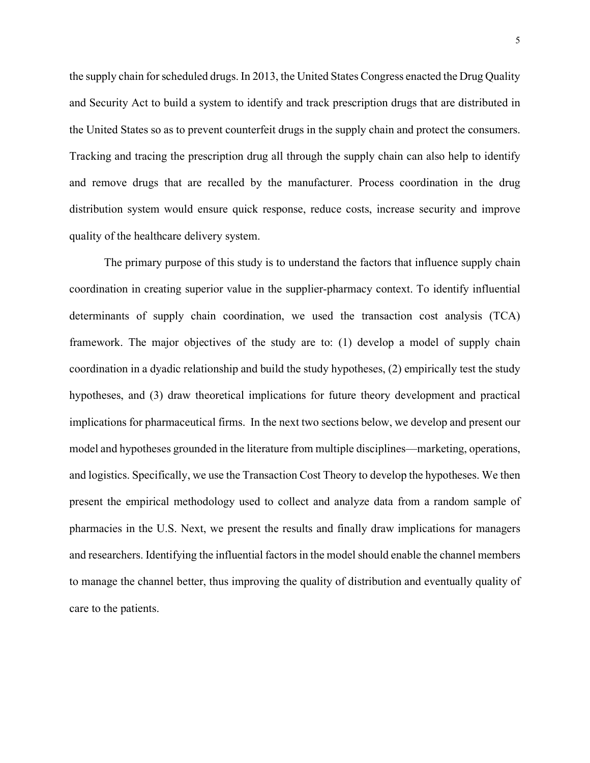the supply chain for scheduled drugs. In 2013, the United States Congress enacted the Drug Quality and Security Act to build a system to identify and track prescription drugs that are distributed in the United States so as to prevent counterfeit drugs in the supply chain and protect the consumers. Tracking and tracing the prescription drug all through the supply chain can also help to identify and remove drugs that are recalled by the manufacturer. Process coordination in the drug distribution system would ensure quick response, reduce costs, increase security and improve quality of the healthcare delivery system.

The primary purpose of this study is to understand the factors that influence supply chain coordination in creating superior value in the supplier-pharmacy context. To identify influential determinants of supply chain coordination, we used the transaction cost analysis (TCA) framework. The major objectives of the study are to: (1) develop a model of supply chain coordination in a dyadic relationship and build the study hypotheses, (2) empirically test the study hypotheses, and (3) draw theoretical implications for future theory development and practical implications for pharmaceutical firms. In the next two sections below, we develop and present our model and hypotheses grounded in the literature from multiple disciplines—marketing, operations, and logistics. Specifically, we use the Transaction Cost Theory to develop the hypotheses. We then present the empirical methodology used to collect and analyze data from a random sample of pharmacies in the U.S. Next, we present the results and finally draw implications for managers and researchers. Identifying the influential factors in the model should enable the channel members to manage the channel better, thus improving the quality of distribution and eventually quality of care to the patients.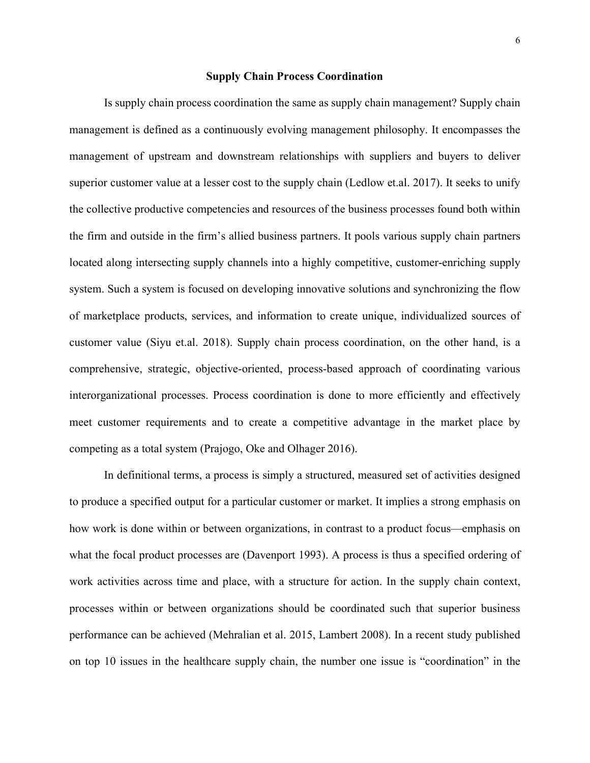#### **Supply Chain Process Coordination**

Is supply chain process coordination the same as supply chain management? Supply chain management is defined as a continuously evolving management philosophy. It encompasses the management of upstream and downstream relationships with suppliers and buyers to deliver superior customer value at a lesser cost to the supply chain (Ledlow et.al. 2017). It seeks to unify the collective productive competencies and resources of the business processes found both within the firm and outside in the firm's allied business partners. It pools various supply chain partners located along intersecting supply channels into a highly competitive, customer-enriching supply system. Such a system is focused on developing innovative solutions and synchronizing the flow of marketplace products, services, and information to create unique, individualized sources of customer value (Siyu et.al. 2018). Supply chain process coordination, on the other hand, is a comprehensive, strategic, objective-oriented, process-based approach of coordinating various interorganizational processes. Process coordination is done to more efficiently and effectively meet customer requirements and to create a competitive advantage in the market place by competing as a total system (Prajogo, Oke and Olhager 2016).

In definitional terms, a process is simply a structured, measured set of activities designed to produce a specified output for a particular customer or market. It implies a strong emphasis on how work is done within or between organizations, in contrast to a product focus—emphasis on what the focal product processes are (Davenport 1993). A process is thus a specified ordering of work activities across time and place, with a structure for action. In the supply chain context, processes within or between organizations should be coordinated such that superior business performance can be achieved (Mehralian et al. 2015, Lambert 2008). In a recent study published on top 10 issues in the healthcare supply chain, the number one issue is "coordination" in the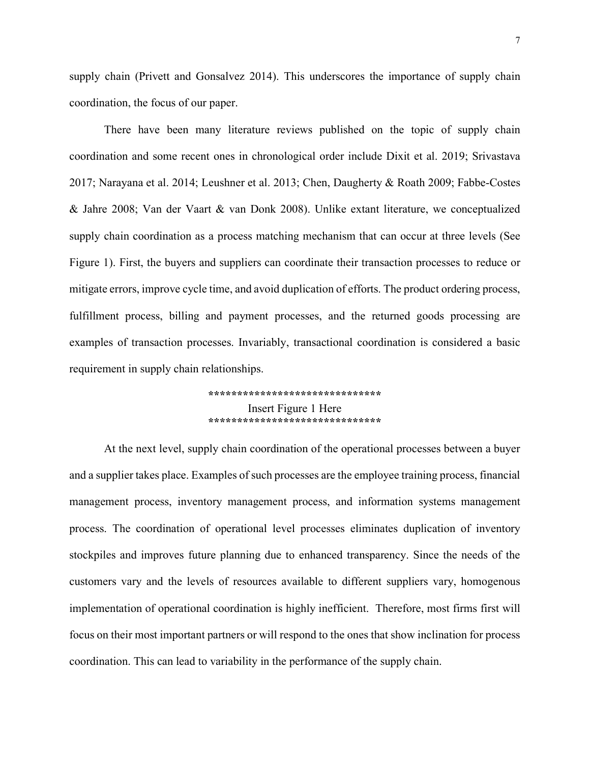supply chain (Privett and Gonsalvez 2014). This underscores the importance of supply chain coordination, the focus of our paper.

There have been many literature reviews published on the topic of supply chain coordination and some recent ones in chronological order include Dixit et al. 2019; Srivastava 2017; Narayana et al. 2014; Leushner et al. 2013; Chen, Daugherty & Roath 2009; Fabbe-Costes & Jahre 2008; Van der Vaart & van Donk 2008). Unlike extant literature, we conceptualized supply chain coordination as a process matching mechanism that can occur at three levels (See Figure 1). First, the buyers and suppliers can coordinate their transaction processes to reduce or mitigate errors, improve cycle time, and avoid duplication of efforts. The product ordering process, fulfillment process, billing and payment processes, and the returned goods processing are examples of transaction processes. Invariably, transactional coordination is considered a basic requirement in supply chain relationships.

> **\*\*\*\*\*\*\*\*\*\*\*\*\*\*\*\*\*\*\*\*\*\*\*\*\*\*\*\*\*\*** Insert Figure 1 Here **\*\*\*\*\*\*\*\*\*\*\*\*\*\*\*\*\*\*\*\*\*\*\*\*\*\*\*\*\*\***

At the next level, supply chain coordination of the operational processes between a buyer and a supplier takes place. Examples of such processes are the employee training process, financial management process, inventory management process, and information systems management process. The coordination of operational level processes eliminates duplication of inventory stockpiles and improves future planning due to enhanced transparency. Since the needs of the customers vary and the levels of resources available to different suppliers vary, homogenous implementation of operational coordination is highly inefficient. Therefore, most firms first will focus on their most important partners or will respond to the ones that show inclination for process coordination. This can lead to variability in the performance of the supply chain.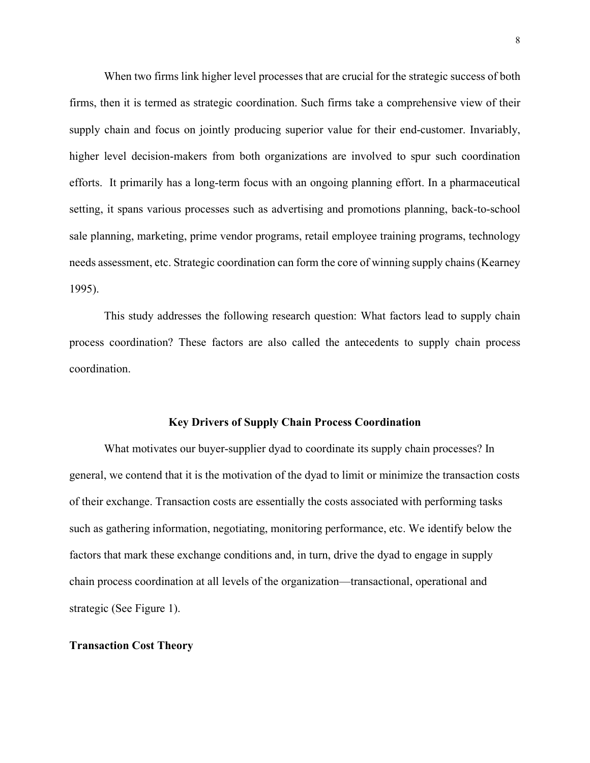When two firms link higher level processes that are crucial for the strategic success of both firms, then it is termed as strategic coordination. Such firms take a comprehensive view of their supply chain and focus on jointly producing superior value for their end-customer. Invariably, higher level decision-makers from both organizations are involved to spur such coordination efforts. It primarily has a long-term focus with an ongoing planning effort. In a pharmaceutical setting, it spans various processes such as advertising and promotions planning, back-to-school sale planning, marketing, prime vendor programs, retail employee training programs, technology needs assessment, etc. Strategic coordination can form the core of winning supply chains (Kearney 1995).

 This study addresses the following research question: What factors lead to supply chain process coordination? These factors are also called the antecedents to supply chain process coordination.

#### **Key Drivers of Supply Chain Process Coordination**

What motivates our buyer-supplier dyad to coordinate its supply chain processes? In general, we contend that it is the motivation of the dyad to limit or minimize the transaction costs of their exchange. Transaction costs are essentially the costs associated with performing tasks such as gathering information, negotiating, monitoring performance, etc. We identify below the factors that mark these exchange conditions and, in turn, drive the dyad to engage in supply chain process coordination at all levels of the organization—transactional, operational and strategic (See Figure 1).

#### **Transaction Cost Theory**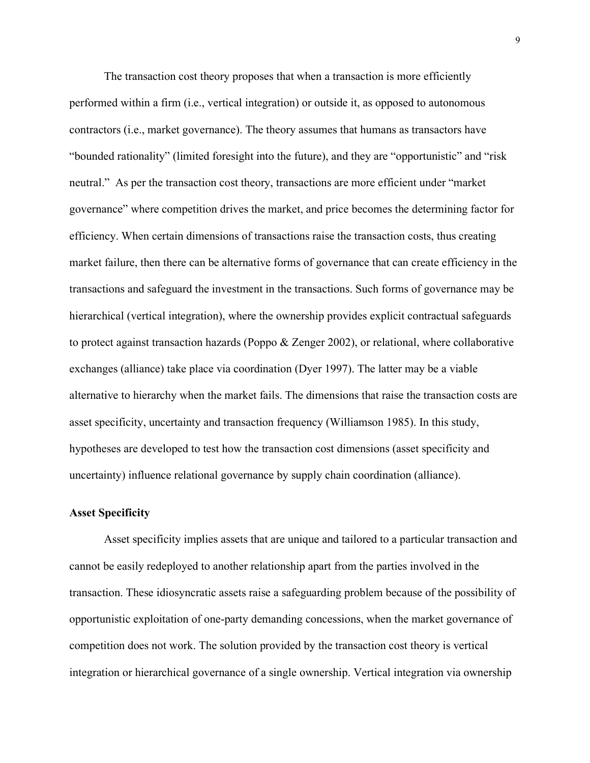The transaction cost theory proposes that when a transaction is more efficiently performed within a firm (i.e., vertical integration) or outside it, as opposed to autonomous contractors (i.e., market governance). The theory assumes that humans as transactors have "bounded rationality" (limited foresight into the future), and they are "opportunistic" and "risk neutral." As per the transaction cost theory, transactions are more efficient under "market governance" where competition drives the market, and price becomes the determining factor for efficiency. When certain dimensions of transactions raise the transaction costs, thus creating market failure, then there can be alternative forms of governance that can create efficiency in the transactions and safeguard the investment in the transactions. Such forms of governance may be hierarchical (vertical integration), where the ownership provides explicit contractual safeguards to protect against transaction hazards (Poppo & Zenger 2002), or relational, where collaborative exchanges (alliance) take place via coordination (Dyer 1997). The latter may be a viable alternative to hierarchy when the market fails. The dimensions that raise the transaction costs are asset specificity, uncertainty and transaction frequency (Williamson 1985). In this study, hypotheses are developed to test how the transaction cost dimensions (asset specificity and uncertainty) influence relational governance by supply chain coordination (alliance).

#### **Asset Specificity**

Asset specificity implies assets that are unique and tailored to a particular transaction and cannot be easily redeployed to another relationship apart from the parties involved in the transaction. These idiosyncratic assets raise a safeguarding problem because of the possibility of opportunistic exploitation of one-party demanding concessions, when the market governance of competition does not work. The solution provided by the transaction cost theory is vertical integration or hierarchical governance of a single ownership. Vertical integration via ownership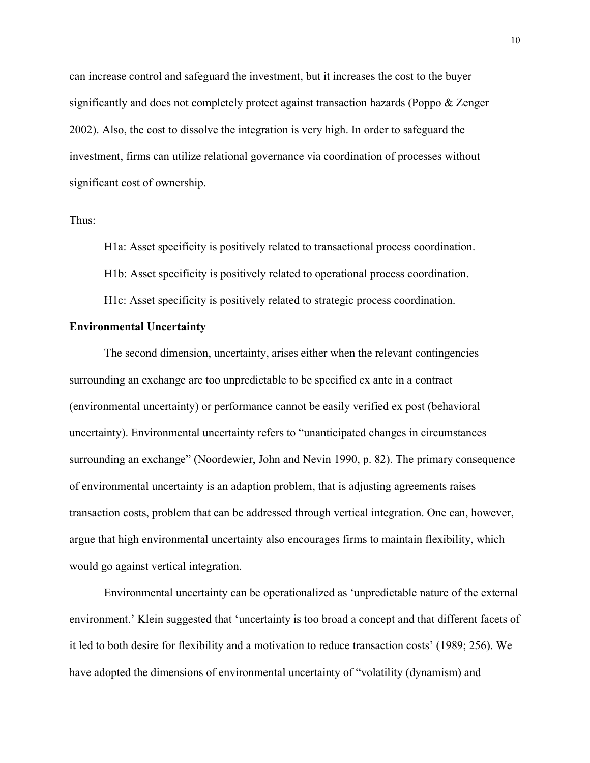can increase control and safeguard the investment, but it increases the cost to the buyer significantly and does not completely protect against transaction hazards (Poppo & Zenger 2002). Also, the cost to dissolve the integration is very high. In order to safeguard the investment, firms can utilize relational governance via coordination of processes without significant cost of ownership.

Thus:

H1a: Asset specificity is positively related to transactional process coordination.

H1b: Asset specificity is positively related to operational process coordination.

H1c: Asset specificity is positively related to strategic process coordination.

#### **Environmental Uncertainty**

The second dimension, uncertainty, arises either when the relevant contingencies surrounding an exchange are too unpredictable to be specified ex ante in a contract (environmental uncertainty) or performance cannot be easily verified ex post (behavioral uncertainty). Environmental uncertainty refers to "unanticipated changes in circumstances surrounding an exchange" (Noordewier, John and Nevin 1990, p. 82). The primary consequence of environmental uncertainty is an adaption problem, that is adjusting agreements raises transaction costs, problem that can be addressed through vertical integration. One can, however, argue that high environmental uncertainty also encourages firms to maintain flexibility, which would go against vertical integration.

Environmental uncertainty can be operationalized as 'unpredictable nature of the external environment.' Klein suggested that 'uncertainty is too broad a concept and that different facets of it led to both desire for flexibility and a motivation to reduce transaction costs' (1989; 256). We have adopted the dimensions of environmental uncertainty of "volatility (dynamism) and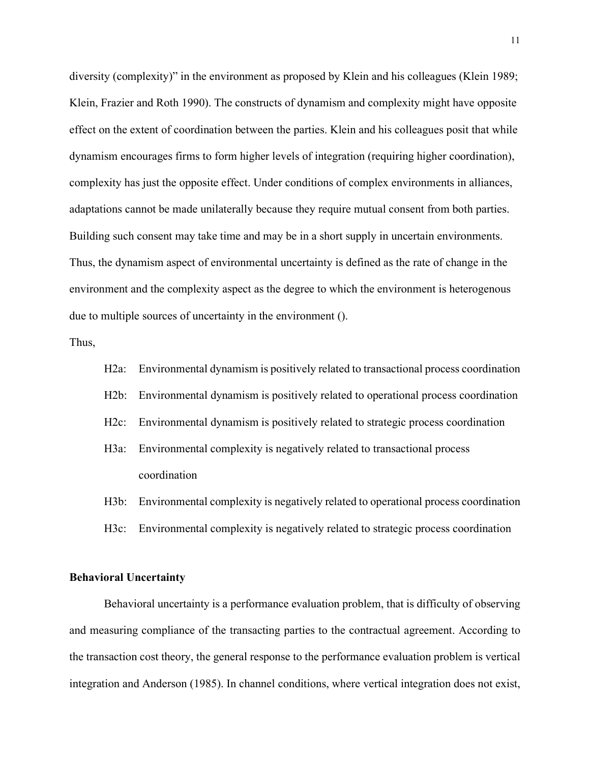diversity (complexity)" in the environment as proposed by Klein and his colleagues (Klein 1989; Klein, Frazier and Roth 1990). The constructs of dynamism and complexity might have opposite effect on the extent of coordination between the parties. Klein and his colleagues posit that while dynamism encourages firms to form higher levels of integration (requiring higher coordination), complexity has just the opposite effect. Under conditions of complex environments in alliances, adaptations cannot be made unilaterally because they require mutual consent from both parties. Building such consent may take time and may be in a short supply in uncertain environments. Thus, the dynamism aspect of environmental uncertainty is defined as the rate of change in the environment and the complexity aspect as the degree to which the environment is heterogenous due to multiple sources of uncertainty in the environment ().

Thus,

- H2a: Environmental dynamism is positively related to transactional process coordination
- H2b: Environmental dynamism is positively related to operational process coordination
- H2c: Environmental dynamism is positively related to strategic process coordination
- H3a: Environmental complexity is negatively related to transactional process coordination
- H3b: Environmental complexity is negatively related to operational process coordination
- H3c: Environmental complexity is negatively related to strategic process coordination

#### **Behavioral Uncertainty**

Behavioral uncertainty is a performance evaluation problem, that is difficulty of observing and measuring compliance of the transacting parties to the contractual agreement. According to the transaction cost theory, the general response to the performance evaluation problem is vertical integration and Anderson (1985). In channel conditions, where vertical integration does not exist,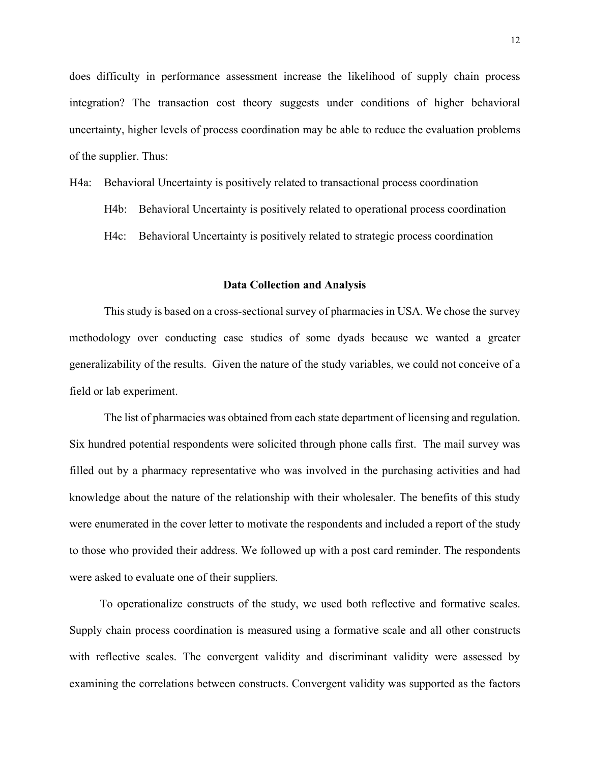does difficulty in performance assessment increase the likelihood of supply chain process integration? The transaction cost theory suggests under conditions of higher behavioral uncertainty, higher levels of process coordination may be able to reduce the evaluation problems of the supplier. Thus:

- H4a: Behavioral Uncertainty is positively related to transactional process coordination
	- H4b: Behavioral Uncertainty is positively related to operational process coordination
	- H4c: Behavioral Uncertainty is positively related to strategic process coordination

#### **Data Collection and Analysis**

Thisstudy is based on a cross-sectional survey of pharmacies in USA. We chose the survey methodology over conducting case studies of some dyads because we wanted a greater generalizability of the results. Given the nature of the study variables, we could not conceive of a field or lab experiment.

The list of pharmacies was obtained from each state department of licensing and regulation. Six hundred potential respondents were solicited through phone calls first. The mail survey was filled out by a pharmacy representative who was involved in the purchasing activities and had knowledge about the nature of the relationship with their wholesaler. The benefits of this study were enumerated in the cover letter to motivate the respondents and included a report of the study to those who provided their address. We followed up with a post card reminder. The respondents were asked to evaluate one of their suppliers.

To operationalize constructs of the study, we used both reflective and formative scales. Supply chain process coordination is measured using a formative scale and all other constructs with reflective scales. The convergent validity and discriminant validity were assessed by examining the correlations between constructs. Convergent validity was supported as the factors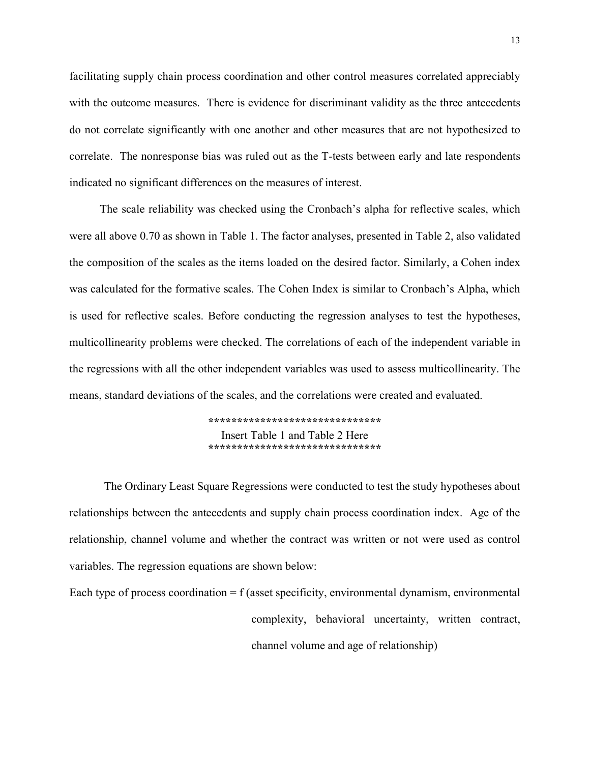facilitating supply chain process coordination and other control measures correlated appreciably with the outcome measures. There is evidence for discriminant validity as the three antecedents do not correlate significantly with one another and other measures that are not hypothesized to correlate. The nonresponse bias was ruled out as the T-tests between early and late respondents indicated no significant differences on the measures of interest.

The scale reliability was checked using the Cronbach's alpha for reflective scales, which were all above 0.70 as shown in Table 1. The factor analyses, presented in Table 2, also validated the composition of the scales as the items loaded on the desired factor. Similarly, a Cohen index was calculated for the formative scales. The Cohen Index is similar to Cronbach's Alpha, which is used for reflective scales. Before conducting the regression analyses to test the hypotheses, multicollinearity problems were checked. The correlations of each of the independent variable in the regressions with all the other independent variables was used to assess multicollinearity. The means, standard deviations of the scales, and the correlations were created and evaluated.

> **\*\*\*\*\*\*\*\*\*\*\*\*\*\*\*\*\*\*\*\*\*\*\*\*\*\*\*\*\*\*** Insert Table 1 and Table 2 Here **\*\*\*\*\*\*\*\*\*\*\*\*\*\*\*\*\*\*\*\*\*\*\*\*\*\*\*\*\*\***

The Ordinary Least Square Regressions were conducted to test the study hypotheses about relationships between the antecedents and supply chain process coordination index. Age of the relationship, channel volume and whether the contract was written or not were used as control variables. The regression equations are shown below:

Each type of process coordination  $= f$  (asset specificity, environmental dynamism, environmental complexity, behavioral uncertainty, written contract, channel volume and age of relationship)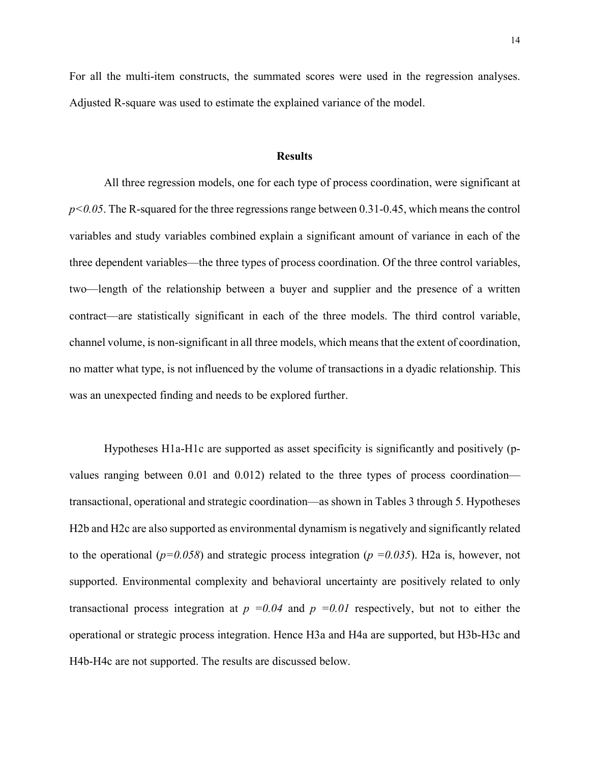For all the multi-item constructs, the summated scores were used in the regression analyses. Adjusted R-square was used to estimate the explained variance of the model.

#### **Results**

All three regression models, one for each type of process coordination, were significant at *p<0.05*. The R-squared for the three regressions range between 0.31-0.45, which means the control variables and study variables combined explain a significant amount of variance in each of the three dependent variables—the three types of process coordination. Of the three control variables, two—length of the relationship between a buyer and supplier and the presence of a written contract—are statistically significant in each of the three models. The third control variable, channel volume, is non-significant in all three models, which means that the extent of coordination, no matter what type, is not influenced by the volume of transactions in a dyadic relationship. This was an unexpected finding and needs to be explored further.

Hypotheses H1a-H1c are supported as asset specificity is significantly and positively (pvalues ranging between 0.01 and 0.012) related to the three types of process coordination transactional, operational and strategic coordination—as shown in Tables 3 through 5. Hypotheses H2b and H2c are also supported as environmental dynamism is negatively and significantly related to the operational ( $p=0.058$ ) and strategic process integration ( $p=0.035$ ). H2a is, however, not supported. Environmental complexity and behavioral uncertainty are positively related to only transactional process integration at  $p =0.04$  and  $p =0.01$  respectively, but not to either the operational or strategic process integration. Hence H3a and H4a are supported, but H3b-H3c and H4b-H4c are not supported. The results are discussed below.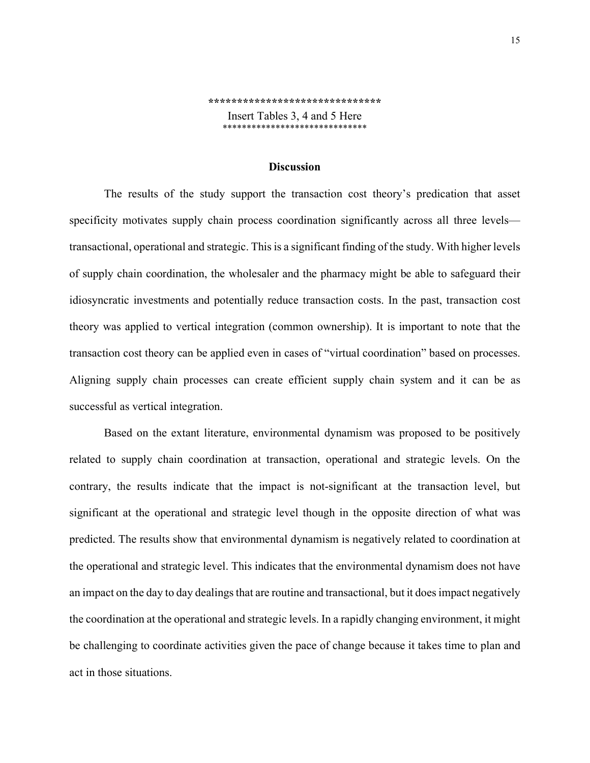#### **\*\*\*\*\*\*\*\*\*\*\*\*\*\*\*\*\*\*\*\*\*\*\*\*\*\*\*\*\*\***

Insert Tables 3, 4 and 5 Here \*\*\*\*\*\*\*\*\*\*\*\*\*\*\*\*\*\*\*\*\*\*\*\*\*\*\*\*

#### **Discussion**

The results of the study support the transaction cost theory's predication that asset specificity motivates supply chain process coordination significantly across all three levels transactional, operational and strategic. This is a significant finding of the study. With higher levels of supply chain coordination, the wholesaler and the pharmacy might be able to safeguard their idiosyncratic investments and potentially reduce transaction costs. In the past, transaction cost theory was applied to vertical integration (common ownership). It is important to note that the transaction cost theory can be applied even in cases of "virtual coordination" based on processes. Aligning supply chain processes can create efficient supply chain system and it can be as successful as vertical integration.

Based on the extant literature, environmental dynamism was proposed to be positively related to supply chain coordination at transaction, operational and strategic levels. On the contrary, the results indicate that the impact is not-significant at the transaction level, but significant at the operational and strategic level though in the opposite direction of what was predicted. The results show that environmental dynamism is negatively related to coordination at the operational and strategic level. This indicates that the environmental dynamism does not have an impact on the day to day dealings that are routine and transactional, but it doesimpact negatively the coordination at the operational and strategic levels. In a rapidly changing environment, it might be challenging to coordinate activities given the pace of change because it takes time to plan and act in those situations.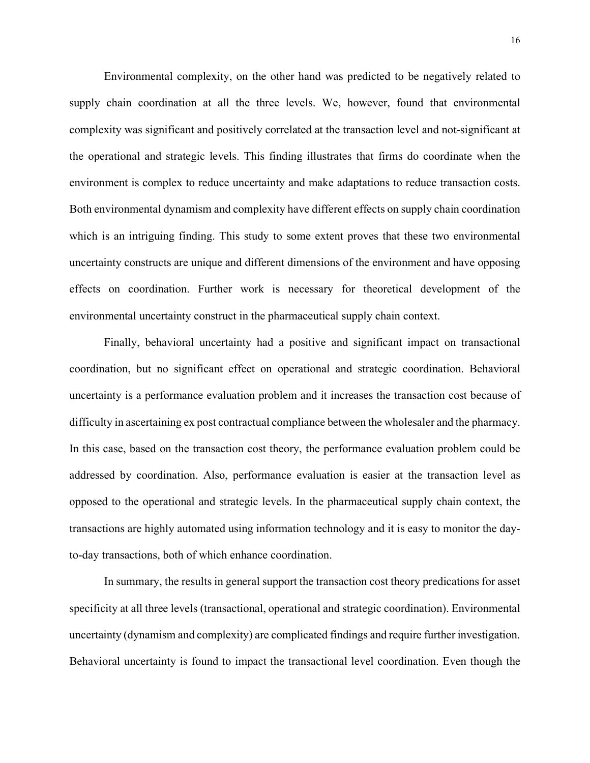Environmental complexity, on the other hand was predicted to be negatively related to supply chain coordination at all the three levels. We, however, found that environmental complexity was significant and positively correlated at the transaction level and not-significant at the operational and strategic levels. This finding illustrates that firms do coordinate when the environment is complex to reduce uncertainty and make adaptations to reduce transaction costs. Both environmental dynamism and complexity have different effects on supply chain coordination which is an intriguing finding. This study to some extent proves that these two environmental uncertainty constructs are unique and different dimensions of the environment and have opposing effects on coordination. Further work is necessary for theoretical development of the environmental uncertainty construct in the pharmaceutical supply chain context.

Finally, behavioral uncertainty had a positive and significant impact on transactional coordination, but no significant effect on operational and strategic coordination. Behavioral uncertainty is a performance evaluation problem and it increases the transaction cost because of difficulty in ascertaining ex post contractual compliance between the wholesaler and the pharmacy. In this case, based on the transaction cost theory, the performance evaluation problem could be addressed by coordination. Also, performance evaluation is easier at the transaction level as opposed to the operational and strategic levels. In the pharmaceutical supply chain context, the transactions are highly automated using information technology and it is easy to monitor the dayto-day transactions, both of which enhance coordination.

In summary, the results in general support the transaction cost theory predications for asset specificity at all three levels (transactional, operational and strategic coordination). Environmental uncertainty (dynamism and complexity) are complicated findings and require further investigation. Behavioral uncertainty is found to impact the transactional level coordination. Even though the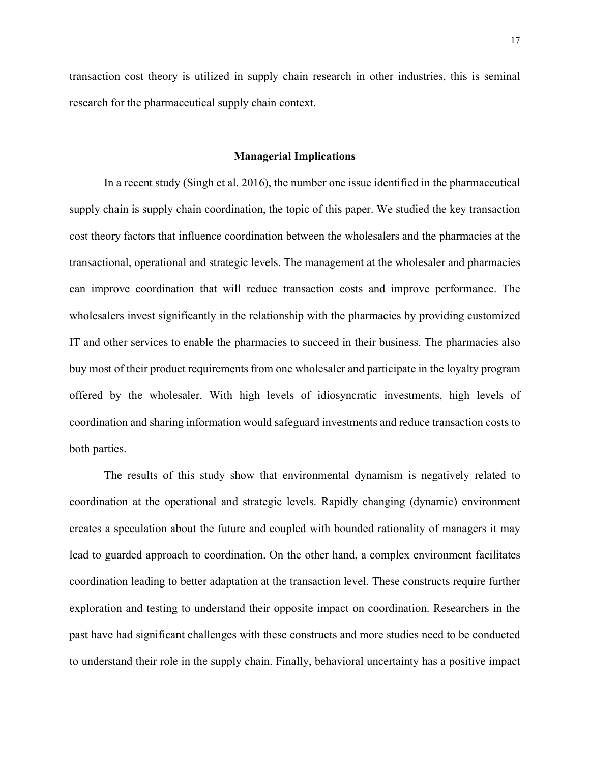transaction cost theory is utilized in supply chain research in other industries, this is seminal research for the pharmaceutical supply chain context.

#### **Managerial Implications**

In a recent study (Singh et al. 2016), the number one issue identified in the pharmaceutical supply chain is supply chain coordination, the topic of this paper. We studied the key transaction cost theory factors that influence coordination between the wholesalers and the pharmacies at the transactional, operational and strategic levels. The management at the wholesaler and pharmacies can improve coordination that will reduce transaction costs and improve performance. The wholesalers invest significantly in the relationship with the pharmacies by providing customized IT and other services to enable the pharmacies to succeed in their business. The pharmacies also buy most of their product requirements from one wholesaler and participate in the loyalty program offered by the wholesaler. With high levels of idiosyncratic investments, high levels of coordination and sharing information would safeguard investments and reduce transaction costs to both parties.

The results of this study show that environmental dynamism is negatively related to coordination at the operational and strategic levels. Rapidly changing (dynamic) environment creates a speculation about the future and coupled with bounded rationality of managers it may lead to guarded approach to coordination. On the other hand, a complex environment facilitates coordination leading to better adaptation at the transaction level. These constructs require further exploration and testing to understand their opposite impact on coordination. Researchers in the past have had significant challenges with these constructs and more studies need to be conducted to understand their role in the supply chain. Finally, behavioral uncertainty has a positive impact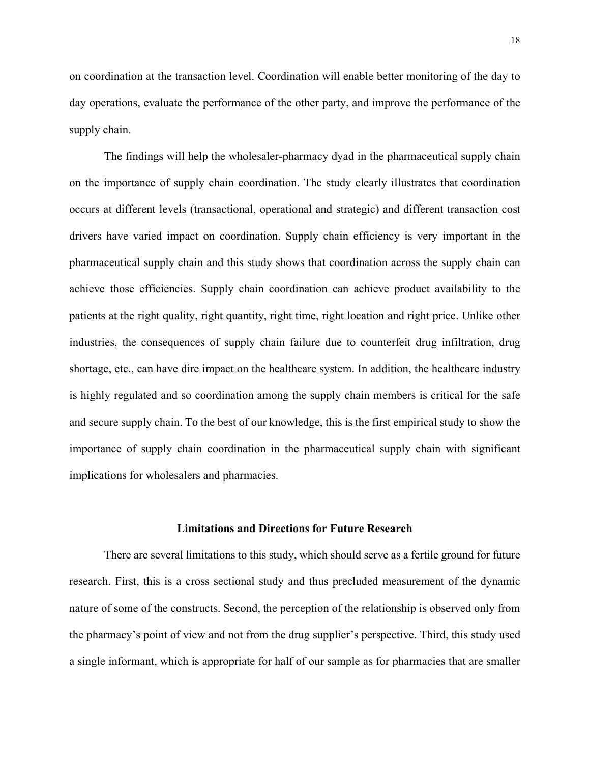on coordination at the transaction level. Coordination will enable better monitoring of the day to day operations, evaluate the performance of the other party, and improve the performance of the supply chain.

The findings will help the wholesaler-pharmacy dyad in the pharmaceutical supply chain on the importance of supply chain coordination. The study clearly illustrates that coordination occurs at different levels (transactional, operational and strategic) and different transaction cost drivers have varied impact on coordination. Supply chain efficiency is very important in the pharmaceutical supply chain and this study shows that coordination across the supply chain can achieve those efficiencies. Supply chain coordination can achieve product availability to the patients at the right quality, right quantity, right time, right location and right price. Unlike other industries, the consequences of supply chain failure due to counterfeit drug infiltration, drug shortage, etc., can have dire impact on the healthcare system. In addition, the healthcare industry is highly regulated and so coordination among the supply chain members is critical for the safe and secure supply chain. To the best of our knowledge, this is the first empirical study to show the importance of supply chain coordination in the pharmaceutical supply chain with significant implications for wholesalers and pharmacies.

#### **Limitations and Directions for Future Research**

There are several limitations to this study, which should serve as a fertile ground for future research. First, this is a cross sectional study and thus precluded measurement of the dynamic nature of some of the constructs. Second, the perception of the relationship is observed only from the pharmacy's point of view and not from the drug supplier's perspective. Third, this study used a single informant, which is appropriate for half of our sample as for pharmacies that are smaller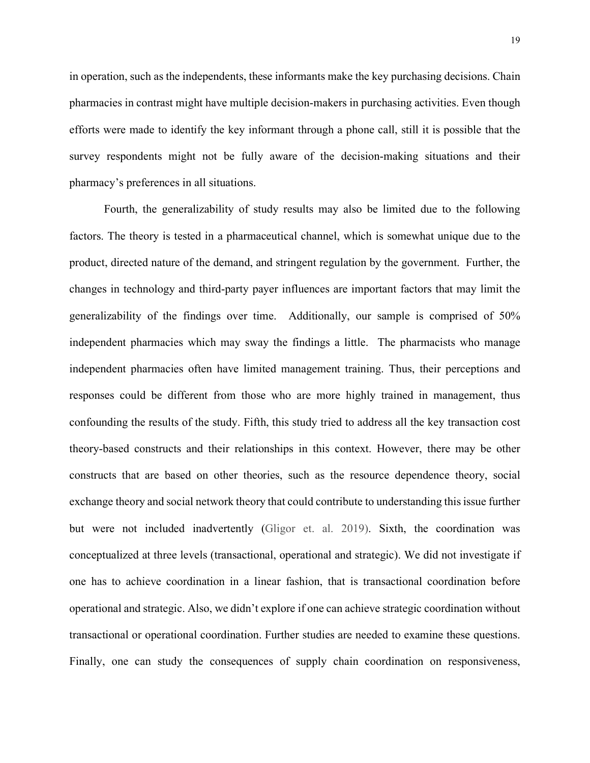in operation, such as the independents, these informants make the key purchasing decisions. Chain pharmacies in contrast might have multiple decision-makers in purchasing activities. Even though efforts were made to identify the key informant through a phone call, still it is possible that the survey respondents might not be fully aware of the decision-making situations and their pharmacy's preferences in all situations.

Fourth, the generalizability of study results may also be limited due to the following factors. The theory is tested in a pharmaceutical channel, which is somewhat unique due to the product, directed nature of the demand, and stringent regulation by the government. Further, the changes in technology and third-party payer influences are important factors that may limit the generalizability of the findings over time. Additionally, our sample is comprised of 50% independent pharmacies which may sway the findings a little. The pharmacists who manage independent pharmacies often have limited management training. Thus, their perceptions and responses could be different from those who are more highly trained in management, thus confounding the results of the study. Fifth, this study tried to address all the key transaction cost theory-based constructs and their relationships in this context. However, there may be other constructs that are based on other theories, such as the resource dependence theory, social exchange theory and social network theory that could contribute to understanding this issue further but were not included inadvertently (Gligor et. al. 2019). Sixth, the coordination was conceptualized at three levels (transactional, operational and strategic). We did not investigate if one has to achieve coordination in a linear fashion, that is transactional coordination before operational and strategic. Also, we didn't explore if one can achieve strategic coordination without transactional or operational coordination. Further studies are needed to examine these questions. Finally, one can study the consequences of supply chain coordination on responsiveness,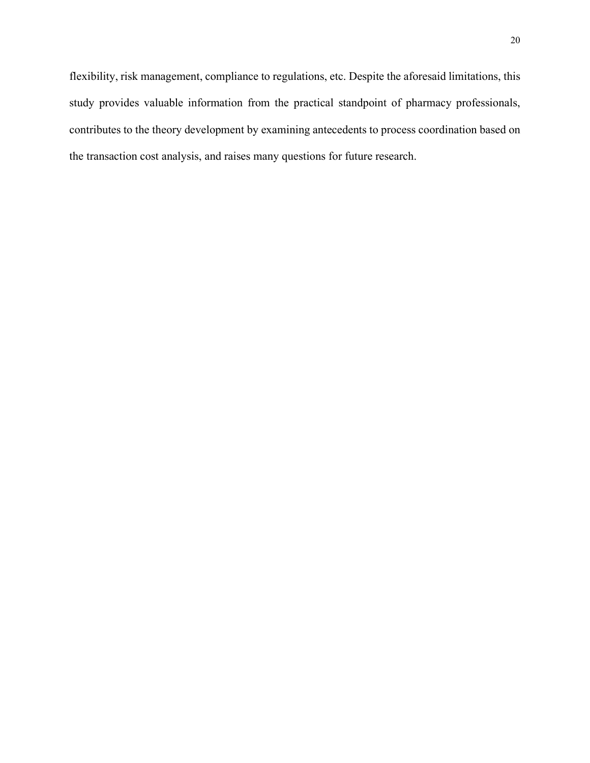flexibility, risk management, compliance to regulations, etc. Despite the aforesaid limitations, this study provides valuable information from the practical standpoint of pharmacy professionals, contributes to the theory development by examining antecedents to process coordination based on the transaction cost analysis, and raises many questions for future research.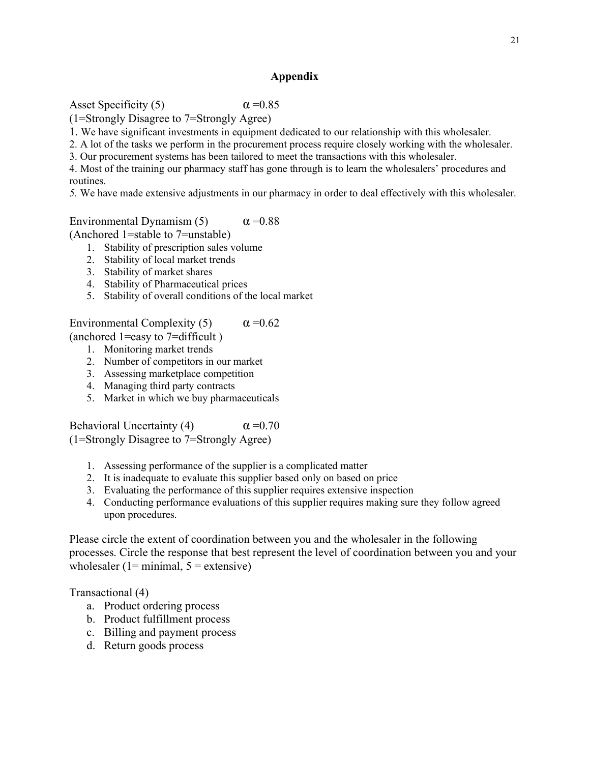### **Appendix**

Asset Specificity (5)  $\alpha = 0.85$ 

(1=Strongly Disagree to 7=Strongly Agree)

1. We have significant investments in equipment dedicated to our relationship with this wholesaler.

2. A lot of the tasks we perform in the procurement process require closely working with the wholesaler.

3. Our procurement systems has been tailored to meet the transactions with this wholesaler.

4. Most of the training our pharmacy staff has gone through is to learn the wholesalers' procedures and routines.

*5.* We have made extensive adjustments in our pharmacy in order to deal effectively with this wholesaler.

Environmental Dynamism (5)  $\alpha = 0.88$ 

(Anchored 1=stable to 7=unstable)

- 1. Stability of prescription sales volume
- 2. Stability of local market trends
- 3. Stability of market shares
- 4. Stability of Pharmaceutical prices
- 5. Stability of overall conditions of the local market

Environmental Complexity (5)  $\alpha = 0.62$ 

(anchored 1=easy to 7=difficult )

- 1. Monitoring market trends
- 2. Number of competitors in our market
- 3. Assessing marketplace competition
- 4. Managing third party contracts
- 5. Market in which we buy pharmaceuticals

Behavioral Uncertainty (4)  $\alpha = 0.70$ (1=Strongly Disagree to 7=Strongly Agree)

- 1. Assessing performance of the supplier is a complicated matter
- 2. It is inadequate to evaluate this supplier based only on based on price
- 3. Evaluating the performance of this supplier requires extensive inspection
- 4. Conducting performance evaluations of this supplier requires making sure they follow agreed upon procedures.

Please circle the extent of coordination between you and the wholesaler in the following processes. Circle the response that best represent the level of coordination between you and your wholesaler (1= minimal,  $5$  = extensive)

Transactional (4)

- a. Product ordering process
- b. Product fulfillment process
- c. Billing and payment process
- d. Return goods process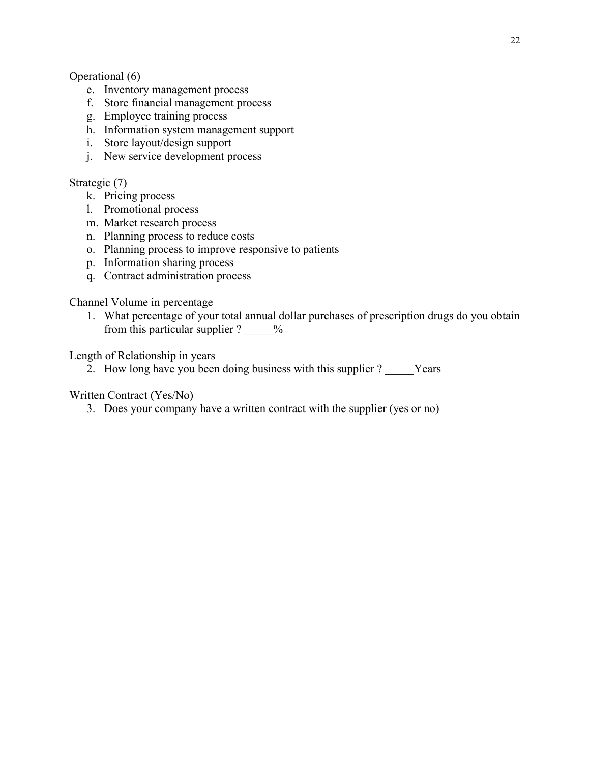### Operational (6)

- e. Inventory management process
- f. Store financial management process
- g. Employee training process
- h. Information system management support
- i. Store layout/design support
- j. New service development process

## Strategic (7)

- k. Pricing process
- l. Promotional process
- m. Market research process
- n. Planning process to reduce costs
- o. Planning process to improve responsive to patients
- p. Information sharing process
- q. Contract administration process

### Channel Volume in percentage

1. What percentage of your total annual dollar purchases of prescription drugs do you obtain from this particular supplier ?  $\frac{9}{6}$ 

Length of Relationship in years

2. How long have you been doing business with this supplier ? Years

## Written Contract (Yes/No)

3. Does your company have a written contract with the supplier (yes or no)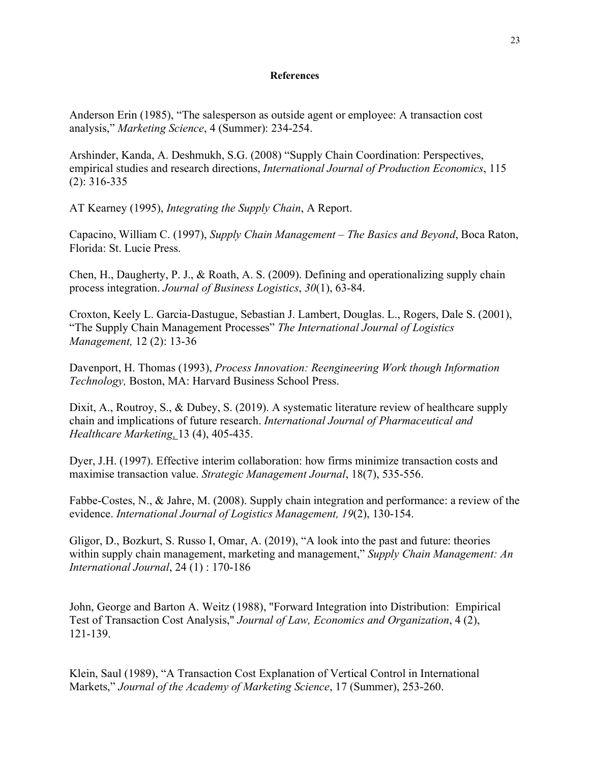#### **References**

Anderson Erin (1985), "The salesperson as outside agent or employee: A transaction cost analysis," *Marketing Science*, 4 (Summer): 234-254.

Arshinder, Kanda, A. Deshmukh, S.G. (2008) "Supply Chain Coordination: Perspectives, empirical studies and research directions, *International Journal of Production Economics*, 115 (2): 316-335

AT Kearney (1995), *Integrating the Supply Chain*, A Report.

Capacino, William C. (1997), *Supply Chain Management – The Basics and Beyond*, Boca Raton, Florida: St. Lucie Press.

Chen, H., Daugherty, P. J., & Roath, A. S. (2009). Defining and operationalizing supply chain process integration. *Journal of Business Logistics*, *30*(1), 63-84.

Croxton, Keely L. Garcia-Dastugue, Sebastian J. Lambert, Douglas. L., Rogers, Dale S. (2001), "The Supply Chain Management Processes" *The International Journal of Logistics Management,* 12 (2): 13-36

Davenport, H. Thomas (1993), *Process Innovation: Reengineering Work though Information Technology,* Boston, MA: Harvard Business School Press.

Dixit, A., Routroy, S., & Dubey, S. (2019). A systematic literature review of healthcare supply chain and implications of future research. *[International Journal of Pharmaceutical and](https://www.emerald.com/insight/publication/issn/1750-6123)  [Healthcare Marketing](https://www.emerald.com/insight/publication/issn/1750-6123)*, 13 (4), 405-435.

Dyer, J.H. (1997). Effective interim collaboration: how firms minimize transaction costs and maximise transaction value. *Strategic Management Journal*, 18(7), 535-556.

Fabbe-Costes, N., & Jahre, M. (2008). Supply chain integration and performance: a review of the evidence. *International Journal of Logistics Management, 19*(2), 130-154.

Gligor, D., Bozkurt, S. Russo I, Omar, A. (2019), "A look into the past and future: theories within supply chain management, marketing and management," *Supply Chain Management: An International Journal*, 24 (1) : 170-186

John, George and Barton A. Weitz (1988), "Forward Integration into Distribution: Empirical Test of Transaction Cost Analysis," *Journal of Law, Economics and Organization*, 4 (2), 121-139.

Klein, Saul (1989), "A Transaction Cost Explanation of Vertical Control in International Markets," *Journal of the Academy of Marketing Science*, 17 (Summer), 253-260.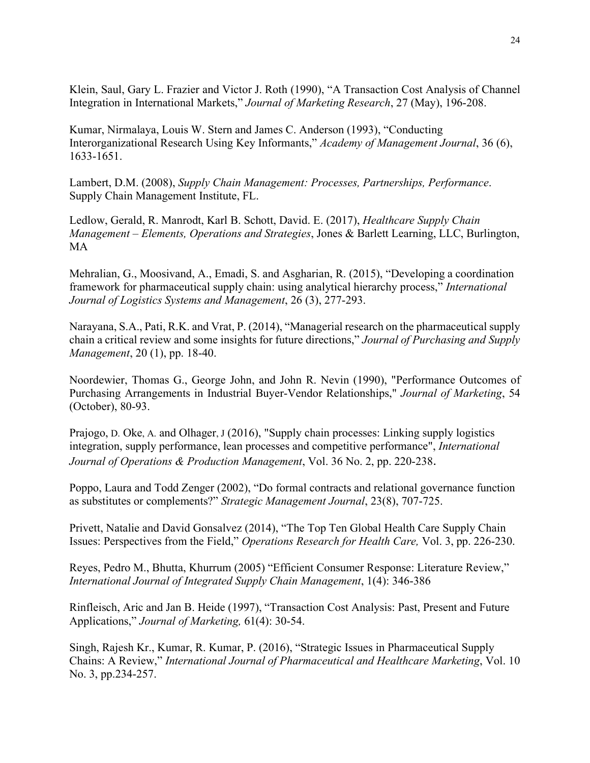Klein, Saul, Gary L. Frazier and Victor J. Roth (1990), "A Transaction Cost Analysis of Channel Integration in International Markets," *Journal of Marketing Research*, 27 (May), 196-208.

Kumar, Nirmalaya, Louis W. Stern and James C. Anderson (1993), "Conducting Interorganizational Research Using Key Informants," *Academy of Management Journal*, 36 (6), 1633-1651.

Lambert, D.M. (2008), *Supply Chain Management: Processes, Partnerships, Performance*. Supply Chain Management Institute, FL.

Ledlow, Gerald, R. Manrodt, Karl B. Schott, David. E. (2017), *Healthcare Supply Chain Management – Elements, Operations and Strategies*, Jones & Barlett Learning, LLC, Burlington, MA

Mehralian, G., Moosivand, A., Emadi, S. and Asgharian, R. (2015), "Developing a coordination framework for pharmaceutical supply chain: using analytical hierarchy process," *International Journal of Logistics Systems and Management*, 26 (3), 277-293.

Narayana, S.A., Pati, R.K. and Vrat, P. (2014), "Managerial research on the pharmaceutical supply chain a critical review and some insights for future directions," *Journal of Purchasing and Supply Management*, 20 (1), pp. 18-40.

Noordewier, Thomas G., George John, and John R. Nevin (1990), "Performance Outcomes of Purchasing Arrangements in Industrial Buyer-Vendor Relationships," *Journal of Marketing*, 54 (October), 80-93.

Prajogo, D. Oke, A. and Olhager, J (2016), "Supply chain processes: Linking supply logistics integration, supply performance, lean processes and competitive performance", *International Journal of Operations & Production Management*, Vol. 36 No. 2, pp. 220-238.

Poppo, Laura and Todd Zenger (2002), "Do formal contracts and relational governance function as substitutes or complements?" *Strategic Management Journal*, 23(8), 707-725.

Privett, Natalie and David Gonsalvez (2014), "The Top Ten Global Health Care Supply Chain Issues: Perspectives from the Field," *Operations Research for Health Care,* Vol. 3, pp. 226-230.

Reyes, Pedro M., Bhutta, Khurrum (2005) "Efficient Consumer Response: Literature Review," *International Journal of Integrated Supply Chain Management*, 1(4): 346-386

Rinfleisch, Aric and Jan B. Heide (1997), "Transaction Cost Analysis: Past, Present and Future Applications," *Journal of Marketing,* 61(4): 30-54.

Singh, Rajesh Kr., Kumar, R. Kumar, P. (2016), "Strategic Issues in Pharmaceutical Supply Chains: A Review," *International Journal of Pharmaceutical and Healthcare Marketing*, Vol. 10 No. 3, pp.234-257.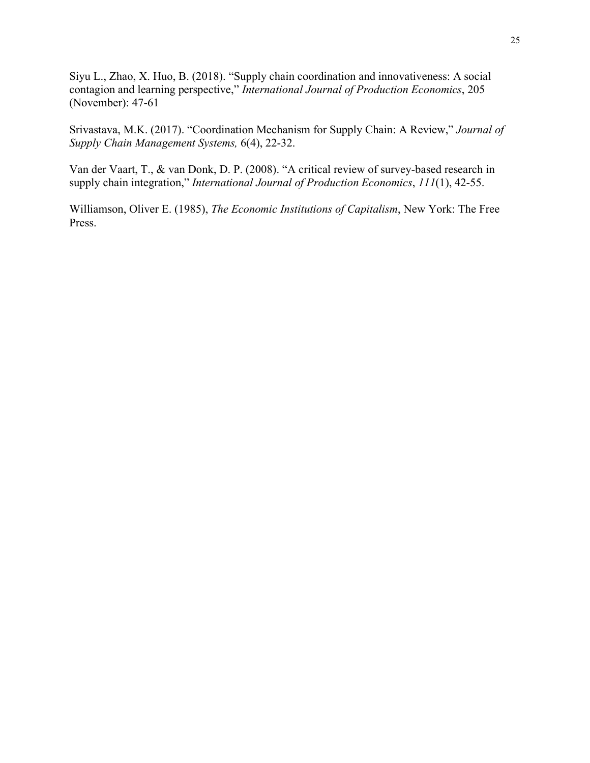Siyu L., Zhao, X. Huo, B. (2018). "Supply chain coordination and innovativeness: A social contagion and learning perspective," *International Journal of Production Economics*, 205 (November): 47-61

Srivastava, M.K. (2017). "Coordination Mechanism for Supply Chain: A Review," *Journal of Supply Chain Management Systems,* 6(4), 22-32.

Van der Vaart, T., & van Donk, D. P. (2008). "A critical review of survey-based research in supply chain integration," *International Journal of Production Economics*, *111*(1), 42-55.

Williamson, Oliver E. (1985), *The Economic Institutions of Capitalism*, New York: The Free Press.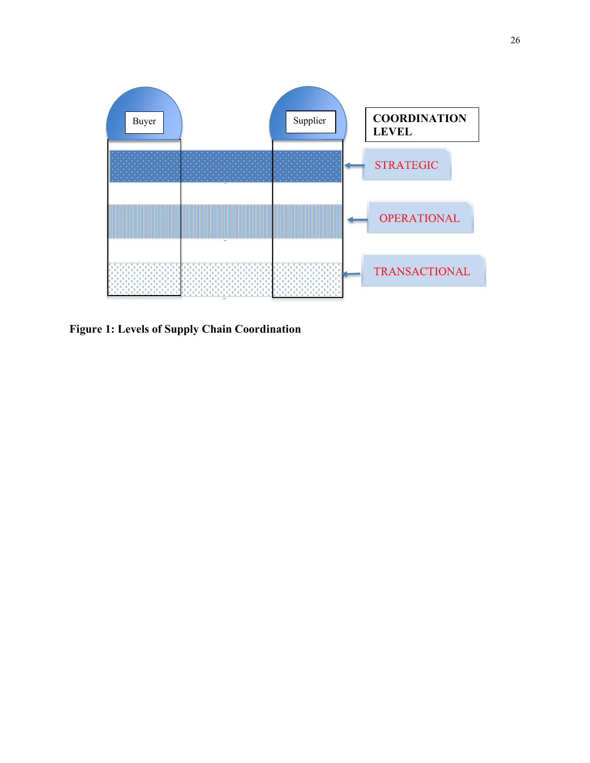

**Figure 1: Levels of Supply Chain Coordination**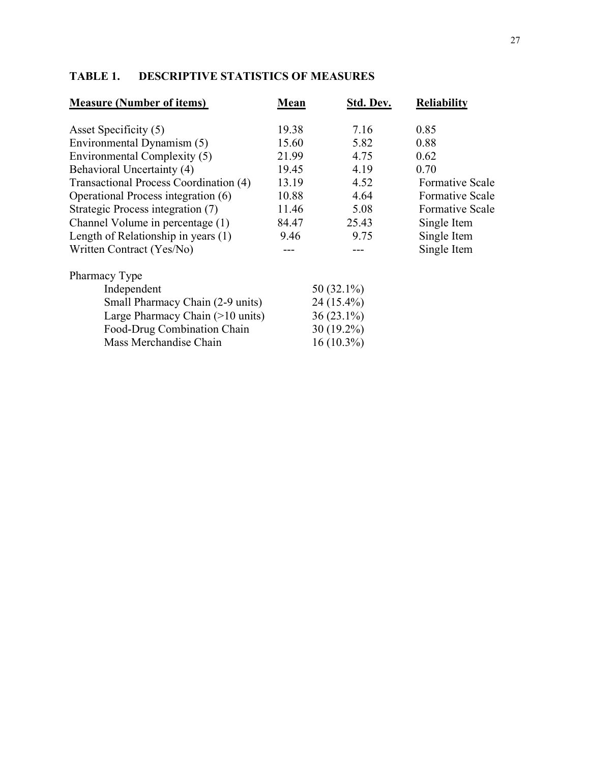## **TABLE 1. DESCRIPTIVE STATISTICS OF MEASURES**

| <b>Measure (Number of items)</b>       | Mean  | Std. Dev.     | <b>Reliability</b>     |
|----------------------------------------|-------|---------------|------------------------|
| Asset Specificity (5)                  | 19.38 | 7.16          | 0.85                   |
| Environmental Dynamism (5)             | 15.60 | 5.82          | 0.88                   |
| Environmental Complexity (5)           | 21.99 | 4.75          | 0.62                   |
| Behavioral Uncertainty (4)             | 19.45 | 4.19          | 0.70                   |
| Transactional Process Coordination (4) | 13.19 | 4.52          | <b>Formative Scale</b> |
| Operational Process integration (6)    | 10.88 | 4.64          | <b>Formative Scale</b> |
| Strategic Process integration (7)      | 11.46 | 5.08          | <b>Formative Scale</b> |
| Channel Volume in percentage (1)       | 84.47 | 25.43         | Single Item            |
| Length of Relationship in years $(1)$  | 9.46  | 9.75          | Single Item            |
| Written Contract (Yes/No)              |       |               | Single Item            |
| Pharmacy Type                          |       |               |                        |
| Independent                            |       | 50 $(32.1\%)$ |                        |

| 50 $(32.1\%)$ |
|---------------|
| $24(15.4\%)$  |
| $36(23.1\%)$  |
| $30(19.2\%)$  |
| $16(10.3\%)$  |
|               |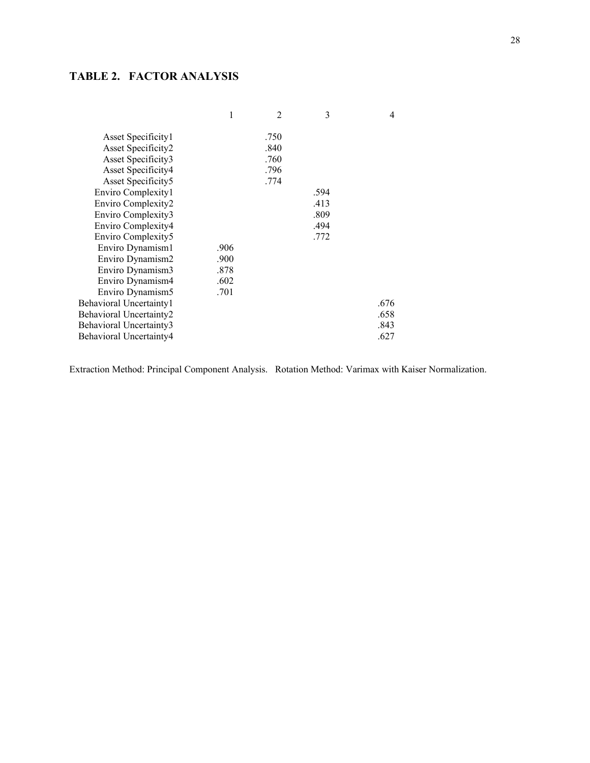## **TABLE 2. FACTOR ANALYSIS**

|      | 2    | 3    | 4    |
|------|------|------|------|
|      | .750 |      |      |
|      | .840 |      |      |
|      | .760 |      |      |
|      | .796 |      |      |
|      | .774 |      |      |
|      |      | .594 |      |
|      |      | .413 |      |
|      |      | .809 |      |
|      |      | .494 |      |
|      |      | .772 |      |
| .906 |      |      |      |
| .900 |      |      |      |
| .878 |      |      |      |
| .602 |      |      |      |
|      |      |      |      |
|      |      |      | .676 |
|      |      |      | .658 |
|      |      |      | .843 |
|      |      |      | .627 |
|      | .701 |      |      |

Extraction Method: Principal Component Analysis. Rotation Method: Varimax with Kaiser Normalization.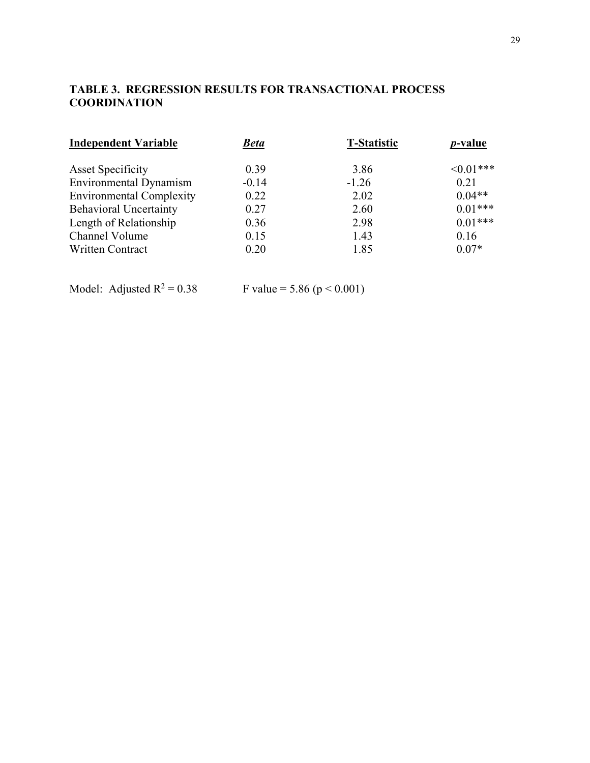## **TABLE 3. REGRESSION RESULTS FOR TRANSACTIONAL PROCESS COORDINATION**

| <b>Independent Variable</b>     | <u>Beta</u> | <b>T-Statistic</b> | <i>p</i> -value |
|---------------------------------|-------------|--------------------|-----------------|
| <b>Asset Specificity</b>        | 0.39        | 3.86               | $\leq 0.01$ *** |
| <b>Environmental Dynamism</b>   | $-0.14$     | $-1.26$            | 0.21            |
| <b>Environmental Complexity</b> | 0.22        | 2.02               | $0.04**$        |
| <b>Behavioral Uncertainty</b>   | 0.27        | 2.60               | $0.01***$       |
| Length of Relationship          | 0.36        | 2.98               | $0.01***$       |
| Channel Volume                  | 0.15        | 1.43               | 0.16            |
| <b>Written Contract</b>         | 0.20        | 1.85               | $0.07*$         |

Model: Adjusted  $R^2 = 0.38$  F value = 5.86 (p < 0.001)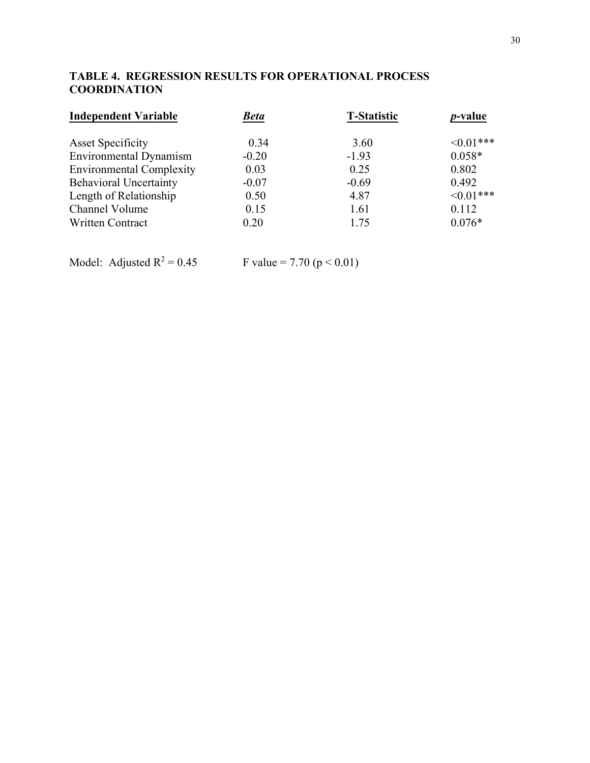## **TABLE 4. REGRESSION RESULTS FOR OPERATIONAL PROCESS COORDINATION**

| <b>Independent Variable</b>     | <b>Beta</b> | <b>T-Statistic</b> | <i>p</i> -value |
|---------------------------------|-------------|--------------------|-----------------|
| <b>Asset Specificity</b>        | 0.34        | 3.60               | $\leq 0.01***$  |
| <b>Environmental Dynamism</b>   | $-0.20$     | $-1.93$            | $0.058*$        |
| <b>Environmental Complexity</b> | 0.03        | 0.25               | 0.802           |
| <b>Behavioral Uncertainty</b>   | $-0.07$     | $-0.69$            | 0.492           |
| Length of Relationship          | 0.50        | 4.87               | $\leq 0.01$ *** |
| Channel Volume                  | 0.15        | 1.61               | 0.112           |
| <b>Written Contract</b>         | 0.20        | 1.75               | $0.076*$        |

Model: Adjusted  $R^2 = 0.45$  F value = 7.70 (p < 0.01)